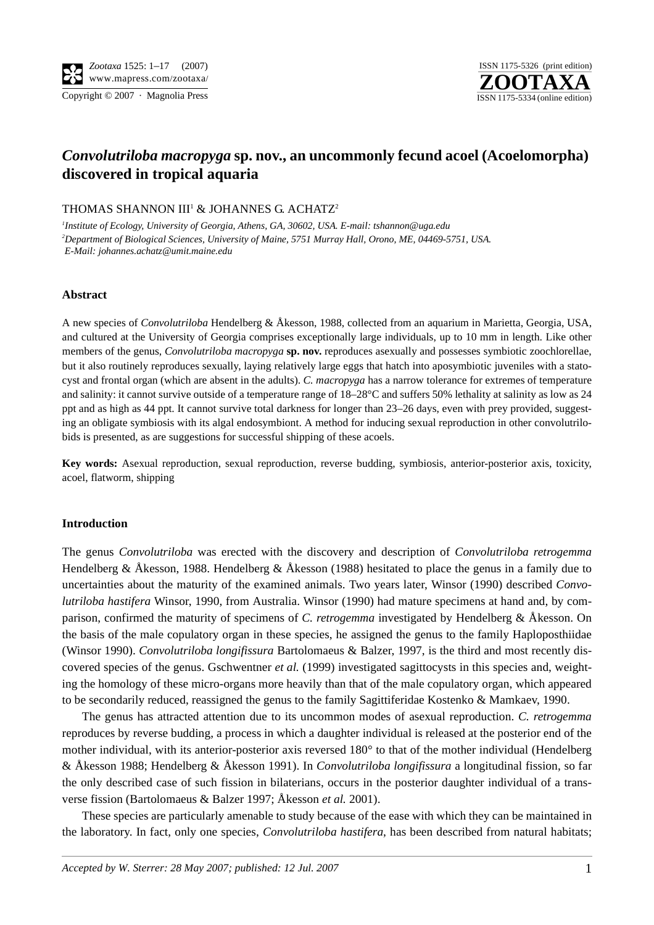

# *Convolutriloba macropyga* **sp. nov., an uncommonly fecund acoel (Acoelomorpha) discovered in tropical aquaria**

THOMAS SHANNON III<sup>1</sup> & JOHANNES G. ACHATZ<sup>2</sup>

*1 Institute of Ecology, University of Georgia, Athens, GA, 30602, USA. E-mail: tshannon@uga.edu 2 Department of Biological Sciences, University of Maine, 5751 Murray Hall, Orono, ME, 04469-5751, USA. E-Mail: johannes.achatz@umit.maine.edu* 

# **Abstract**

A new species of *Convolutriloba* Hendelberg & Åkesson, 1988, collected from an aquarium in Marietta, Georgia, USA, and cultured at the University of Georgia comprises exceptionally large individuals, up to 10 mm in length. Like other members of the genus, *Convolutriloba macropyga* **sp. nov.** reproduces asexually and possesses symbiotic zoochlorellae, but it also routinely reproduces sexually, laying relatively large eggs that hatch into aposymbiotic juveniles with a statocyst and frontal organ (which are absent in the adults). *C. macropyga* has a narrow tolerance for extremes of temperature and salinity: it cannot survive outside of a temperature range of 18–28°C and suffers 50% lethality at salinity as low as 24 ppt and as high as 44 ppt. It cannot survive total darkness for longer than 23–26 days, even with prey provided, suggesting an obligate symbiosis with its algal endosymbiont. A method for inducing sexual reproduction in other convolutrilobids is presented, as are suggestions for successful shipping of these acoels.

**Key words:** Asexual reproduction, sexual reproduction, reverse budding, symbiosis, anterior-posterior axis, toxicity, acoel, flatworm, shipping

# **Introduction**

The genus *Convolutriloba* was erected with the discovery and description of *Convolutriloba retrogemma* Hendelberg & Åkesson, 1988. Hendelberg & Åkesson (1988) hesitated to place the genus in a family due to uncertainties about the maturity of the examined animals. Two years later, Winsor (1990) described *Convolutriloba hastifera* Winsor, 1990, from Australia. Winsor (1990) had mature specimens at hand and, by comparison, confirmed the maturity of specimens of *C. retrogemma* investigated by Hendelberg & Åkesson. On the basis of the male copulatory organ in these species, he assigned the genus to the family Haploposthiidae (Winsor 1990). *Convolutriloba longifissura* Bartolomaeus & Balzer, 1997, is the third and most recently discovered species of the genus. Gschwentner *et al.* (1999) investigated sagittocysts in this species and, weighting the homology of these micro-organs more heavily than that of the male copulatory organ, which appeared to be secondarily reduced, reassigned the genus to the family Sagittiferidae Kostenko & Mamkaev, 1990.

The genus has attracted attention due to its uncommon modes of asexual reproduction. *C. retrogemma* reproduces by reverse budding, a process in which a daughter individual is released at the posterior end of the mother individual, with its anterior-posterior axis reversed 180° to that of the mother individual (Hendelberg & Åkesson 1988; Hendelberg & Åkesson 1991). In *Convolutriloba longifissura* a longitudinal fission, so far the only described case of such fission in bilaterians, occurs in the posterior daughter individual of a transverse fission (Bartolomaeus & Balzer 1997; Åkesson *et al.* 2001).

These species are particularly amenable to study because of the ease with which they can be maintained in the laboratory. In fact, only one species, *Convolutriloba hastifera*, has been described from natural habitats;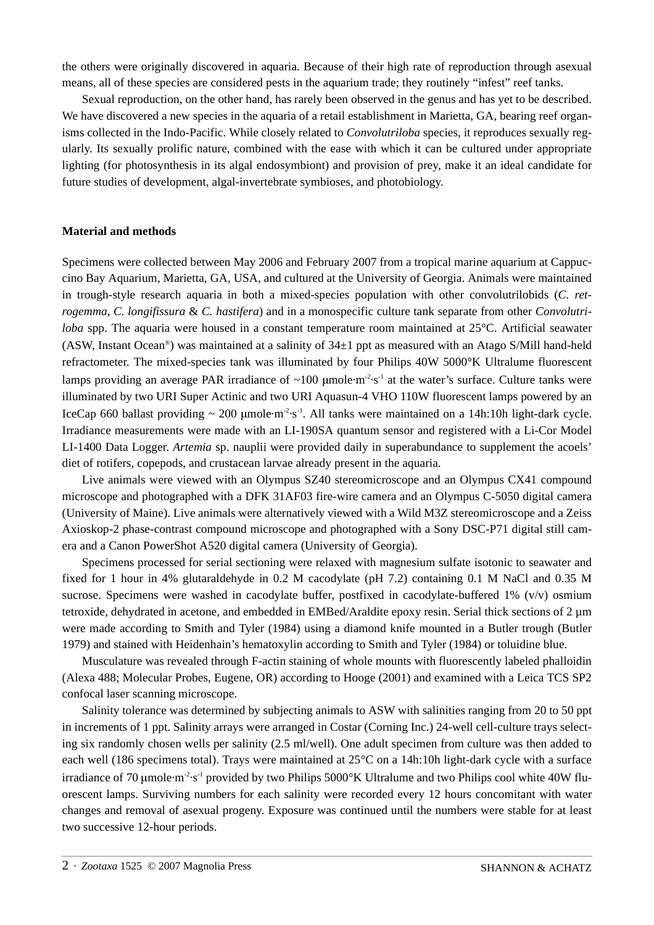the others were originally discovered in aquaria. Because of their high rate of reproduction through asexual means, all of these species are considered pests in the aquarium trade; they routinely "infest" reef tanks.

Sexual reproduction, on the other hand, has rarely been observed in the genus and has yet to be described. We have discovered a new species in the aquaria of a retail establishment in Marietta, GA, bearing reef organisms collected in the Indo-Pacific. While closely related to *Convolutriloba* species, it reproduces sexually regularly. Its sexually prolific nature, combined with the ease with which it can be cultured under appropriate lighting (for photosynthesis in its algal endosymbiont) and provision of prey, make it an ideal candidate for future studies of development, algal-invertebrate symbioses, and photobiology.

## **Material and methods**

Specimens were collected between May 2006 and February 2007 from a tropical marine aquarium at Cappuccino Bay Aquarium, Marietta, GA, USA, and cultured at the University of Georgia. Animals were maintained in trough-style research aquaria in both a mixed-species population with other convolutrilobids (*C. retrogemma*, *C. longifissura* & *C. hastifera*) and in a monospecific culture tank separate from other *Convolutriloba* spp. The aquaria were housed in a constant temperature room maintained at 25<sup>o</sup>C. Artificial seawater (ASW, Instant Ocean®) was maintained at a salinity of 34±1 ppt as measured with an Atago S/Mill hand-held refractometer. The mixed-species tank was illuminated by four Philips 40W 5000°K Ultralume fluorescent lamps providing an average PAR irradiance of  $\sim 100$  umole·m<sup>-2</sup>·s<sup>-1</sup> at the water's surface. Culture tanks were illuminated by two URI Super Actinic and two URI Aquasun-4 VHO 110W fluorescent lamps powered by an IceCap 660 ballast providing  $\sim 200$  umole·m<sup>-2</sup>·s<sup>-1</sup>. All tanks were maintained on a 14h:10h light-dark cycle. Irradiance measurements were made with an LI-190SA quantum sensor and registered with a Li-Cor Model LI-1400 Data Logger. *Artemia* sp. nauplii were provided daily in superabundance to supplement the acoels' diet of rotifers, copepods, and crustacean larvae already present in the aquaria.

Live animals were viewed with an Olympus SZ40 stereomicroscope and an Olympus CX41 compound microscope and photographed with a DFK 31AF03 fire-wire camera and an Olympus C-5050 digital camera (University of Maine). Live animals were alternatively viewed with a Wild M3Z stereomicroscope and a Zeiss Axioskop-2 phase-contrast compound microscope and photographed with a Sony DSC-P71 digital still camera and a Canon PowerShot A520 digital camera (University of Georgia).

Specimens processed for serial sectioning were relaxed with magnesium sulfate isotonic to seawater and fixed for 1 hour in 4% glutaraldehyde in 0.2 M cacodylate (pH 7.2) containing 0.1 M NaCl and 0.35 M sucrose. Specimens were washed in cacodylate buffer, postfixed in cacodylate-buffered 1% (v/v) osmium tetroxide, dehydrated in acetone, and embedded in EMBed/Araldite epoxy resin. Serial thick sections of 2 um were made according to Smith and Tyler (1984) using a diamond knife mounted in a Butler trough (Butler 1979) and stained with Heidenhain's hematoxylin according to Smith and Tyler (1984) or toluidine blue.

Musculature was revealed through F-actin staining of whole mounts with fluorescently labeled phalloidin (Alexa 488; Molecular Probes, Eugene, OR) according to Hooge (2001) and examined with a Leica TCS SP2 confocal laser scanning microscope.

Salinity tolerance was determined by subjecting animals to ASW with salinities ranging from 20 to 50 ppt in increments of 1 ppt. Salinity arrays were arranged in Costar (Corning Inc.) 24-well cell-culture trays selecting six randomly chosen wells per salinity (2.5 ml/well). One adult specimen from culture was then added to each well (186 specimens total). Trays were maintained at 25°C on a 14h:10h light-dark cycle with a surface irradiance of 70 umole·m<sup>-2</sup>·s<sup>-1</sup> provided by two Philips 5000°K Ultralume and two Philips cool white 40W fluorescent lamps. Surviving numbers for each salinity were recorded every 12 hours concomitant with water changes and removal of asexual progeny. Exposure was continued until the numbers were stable for at least two successive 12-hour periods.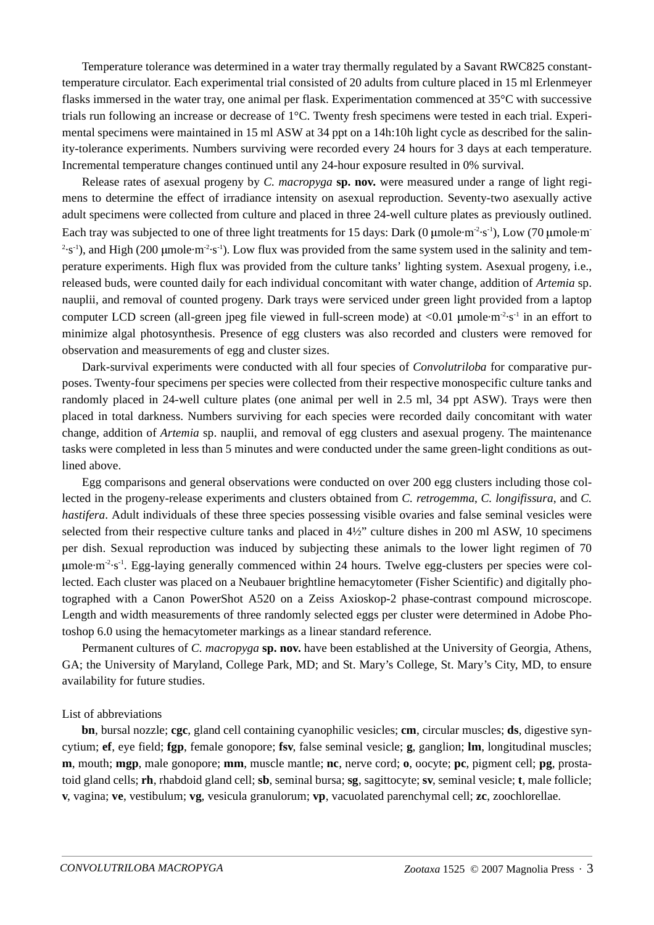Temperature tolerance was determined in a water tray thermally regulated by a Savant RWC825 constanttemperature circulator. Each experimental trial consisted of 20 adults from culture placed in 15 ml Erlenmeyer flasks immersed in the water tray, one animal per flask. Experimentation commenced at 35°C with successive trials run following an increase or decrease of 1°C. Twenty fresh specimens were tested in each trial. Experimental specimens were maintained in 15 ml ASW at 34 ppt on a 14h:10h light cycle as described for the salinity-tolerance experiments. Numbers surviving were recorded every 24 hours for 3 days at each temperature. Incremental temperature changes continued until any 24-hour exposure resulted in 0% survival.

Release rates of asexual progeny by *C. macropyga* **sp. nov.** were measured under a range of light regimens to determine the effect of irradiance intensity on asexual reproduction. Seventy-two asexually active adult specimens were collected from culture and placed in three 24-well culture plates as previously outlined. Each tray was subjected to one of three light treatments for 15 days: Dark (0 µmole·m<sup>-2</sup>·s<sup>-1</sup>), Low (70 µmole·m<sup>-2</sup> <sup>2</sup> $\cdot$ s<sup>-1</sup>), and High (200 µmole·m<sup>-2</sup>·s<sup>-1</sup>). Low flux was provided from the same system used in the salinity and temperature experiments. High flux was provided from the culture tanks' lighting system. Asexual progeny, i.e., released buds, were counted daily for each individual concomitant with water change, addition of *Artemia* sp. nauplii, and removal of counted progeny. Dark trays were serviced under green light provided from a laptop computer LCD screen (all-green jpeg file viewed in full-screen mode) at  $\langle 0.01 \text{ }\mu\text{mole}\cdot\text{m}^2\cdot\text{s}^{-1}$  in an effort to minimize algal photosynthesis. Presence of egg clusters was also recorded and clusters were removed for observation and measurements of egg and cluster sizes.

Dark-survival experiments were conducted with all four species of *Convolutriloba* for comparative purposes. Twenty-four specimens per species were collected from their respective monospecific culture tanks and randomly placed in 24-well culture plates (one animal per well in 2.5 ml, 34 ppt ASW). Trays were then placed in total darkness. Numbers surviving for each species were recorded daily concomitant with water change, addition of *Artemia* sp. nauplii, and removal of egg clusters and asexual progeny. The maintenance tasks were completed in less than 5 minutes and were conducted under the same green-light conditions as outlined above.

Egg comparisons and general observations were conducted on over 200 egg clusters including those collected in the progeny-release experiments and clusters obtained from *C. retrogemma*, *C. longifissura*, and *C. hastifera*. Adult individuals of these three species possessing visible ovaries and false seminal vesicles were selected from their respective culture tanks and placed in 4½" culture dishes in 200 ml ASW, 10 specimens per dish. Sexual reproduction was induced by subjecting these animals to the lower light regimen of 70  $\mu$ mole·m<sup>-2</sup>·s<sup>-1</sup>. Egg-laying generally commenced within 24 hours. Twelve egg-clusters per species were collected. Each cluster was placed on a Neubauer brightline hemacytometer (Fisher Scientific) and digitally photographed with a Canon PowerShot A520 on a Zeiss Axioskop-2 phase-contrast compound microscope. Length and width measurements of three randomly selected eggs per cluster were determined in Adobe Photoshop 6.0 using the hemacytometer markings as a linear standard reference.

Permanent cultures of *C. macropyga* **sp. nov.** have been established at the University of Georgia, Athens, GA; the University of Maryland, College Park, MD; and St. Mary's College, St. Mary's City, MD, to ensure availability for future studies.

#### List of abbreviations

**bn**, bursal nozzle; **cgc**, gland cell containing cyanophilic vesicles; **cm**, circular muscles; **ds**, digestive syncytium; **ef**, eye field; **fgp**, female gonopore; **fsv**, false seminal vesicle; **g**, ganglion; **lm**, longitudinal muscles; **m**, mouth; **mgp**, male gonopore; **mm**, muscle mantle; **nc**, nerve cord; **o**, oocyte; **pc**, pigment cell; **pg**, prostatoid gland cells; **rh**, rhabdoid gland cell; **sb**, seminal bursa; **sg**, sagittocyte; **sv**, seminal vesicle; **t**, male follicle; **v**, vagina; **ve**, vestibulum; **vg**, vesicula granulorum; **vp**, vacuolated parenchymal cell; **zc**, zoochlorellae.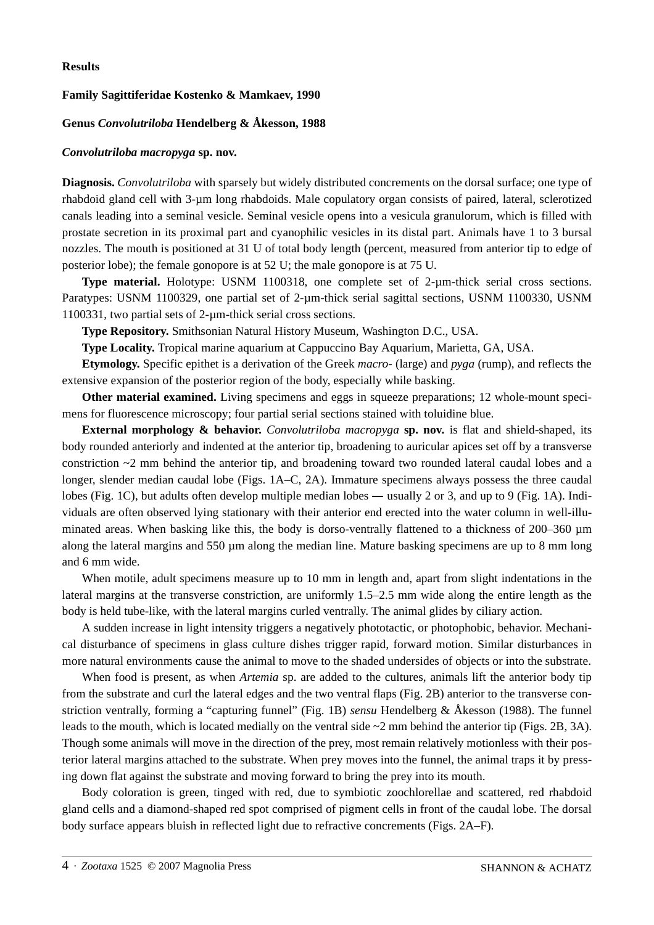## **Results**

# **Family Sagittiferidae Kostenko & Mamkaev, 1990**

# **Genus** *Convolutriloba* **Hendelberg & Åkesson, 1988**

## *Convolutriloba macropyga* **sp. nov.**

**Diagnosis.** *Convolutriloba* with sparsely but widely distributed concrements on the dorsal surface; one type of rhabdoid gland cell with 3-µm long rhabdoids. Male copulatory organ consists of paired, lateral, sclerotized canals leading into a seminal vesicle. Seminal vesicle opens into a vesicula granulorum, which is filled with prostate secretion in its proximal part and cyanophilic vesicles in its distal part. Animals have 1 to 3 bursal nozzles. The mouth is positioned at 31 U of total body length (percent, measured from anterior tip to edge of posterior lobe); the female gonopore is at 52 U; the male gonopore is at 75 U.

**Type material.** Holotype: USNM 1100318, one complete set of 2-µm-thick serial cross sections. Paratypes: USNM 1100329, one partial set of 2-µm-thick serial sagittal sections, USNM 1100330, USNM 1100331, two partial sets of 2-µm-thick serial cross sections.

**Type Repository.** Smithsonian Natural History Museum, Washington D.C., USA.

**Type Locality.** Tropical marine aquarium at Cappuccino Bay Aquarium, Marietta, GA, USA.

**Etymology.** Specific epithet is a derivation of the Greek *macro*- (large) and *pyga* (rump), and reflects the extensive expansion of the posterior region of the body, especially while basking.

**Other material examined.** Living specimens and eggs in squeeze preparations; 12 whole-mount specimens for fluorescence microscopy; four partial serial sections stained with toluidine blue.

**External morphology & behavior.** *Convolutriloba macropyga* **sp. nov.** is flat and shield-shaped, its body rounded anteriorly and indented at the anterior tip, broadening to auricular apices set off by a transverse constriction ~2 mm behind the anterior tip, and broadening toward two rounded lateral caudal lobes and a longer, slender median caudal lobe (Figs. 1A–C, 2A). Immature specimens always possess the three caudal lobes (Fig. 1C), but adults often develop multiple median lobes ― usually 2 or 3, and up to 9 (Fig. 1A). Individuals are often observed lying stationary with their anterior end erected into the water column in well-illuminated areas. When basking like this, the body is dorso-ventrally flattened to a thickness of 200–360 µm along the lateral margins and 550 µm along the median line. Mature basking specimens are up to 8 mm long and 6 mm wide.

When motile, adult specimens measure up to 10 mm in length and, apart from slight indentations in the lateral margins at the transverse constriction, are uniformly 1.5–2.5 mm wide along the entire length as the body is held tube-like, with the lateral margins curled ventrally. The animal glides by ciliary action.

A sudden increase in light intensity triggers a negatively phototactic, or photophobic, behavior. Mechanical disturbance of specimens in glass culture dishes trigger rapid, forward motion. Similar disturbances in more natural environments cause the animal to move to the shaded undersides of objects or into the substrate.

When food is present, as when *Artemia* sp. are added to the cultures, animals lift the anterior body tip from the substrate and curl the lateral edges and the two ventral flaps (Fig. 2B) anterior to the transverse constriction ventrally, forming a "capturing funnel" (Fig. 1B) *sensu* Hendelberg & Åkesson (1988). The funnel leads to the mouth, which is located medially on the ventral side ~2 mm behind the anterior tip (Figs. 2B, 3A). Though some animals will move in the direction of the prey, most remain relatively motionless with their posterior lateral margins attached to the substrate. When prey moves into the funnel, the animal traps it by pressing down flat against the substrate and moving forward to bring the prey into its mouth.

Body coloration is green, tinged with red, due to symbiotic zoochlorellae and scattered, red rhabdoid gland cells and a diamond-shaped red spot comprised of pigment cells in front of the caudal lobe. The dorsal body surface appears bluish in reflected light due to refractive concrements (Figs. 2A–F).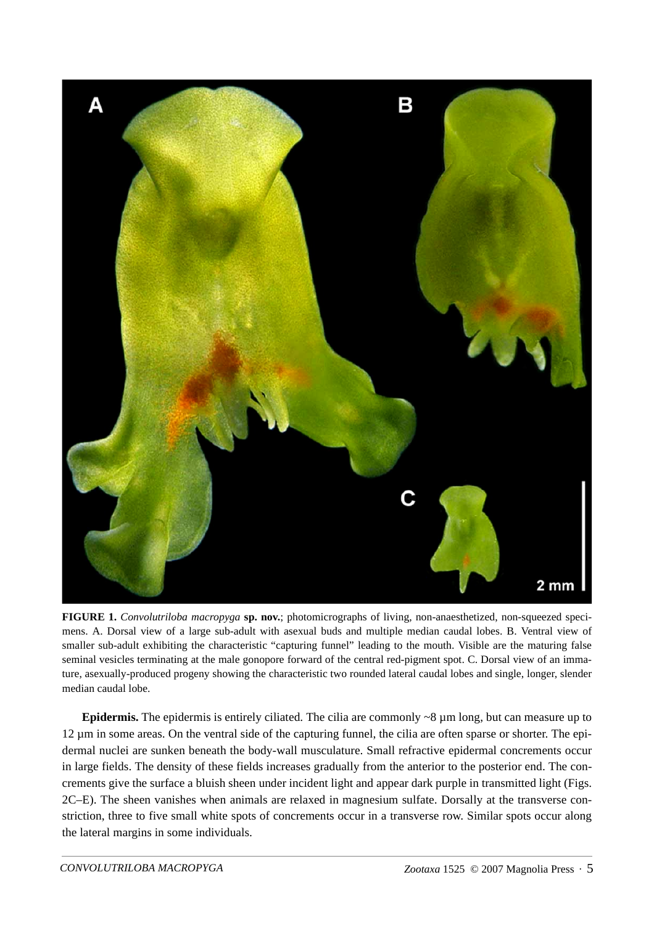

**FIGURE 1.** *Convolutriloba macropyga* **sp. nov.**; photomicrographs of living, non-anaesthetized, non-squeezed specimens. A. Dorsal view of a large sub-adult with asexual buds and multiple median caudal lobes. B. Ventral view of smaller sub-adult exhibiting the characteristic "capturing funnel" leading to the mouth. Visible are the maturing false seminal vesicles terminating at the male gonopore forward of the central red-pigment spot. C. Dorsal view of an immature, asexually-produced progeny showing the characteristic two rounded lateral caudal lobes and single, longer, slender median caudal lobe.

**Epidermis.** The epidermis is entirely ciliated. The cilia are commonly ~8  $\mu$ m long, but can measure up to 12 µm in some areas. On the ventral side of the capturing funnel, the cilia are often sparse or shorter. The epidermal nuclei are sunken beneath the body-wall musculature. Small refractive epidermal concrements occur in large fields. The density of these fields increases gradually from the anterior to the posterior end. The concrements give the surface a bluish sheen under incident light and appear dark purple in transmitted light (Figs. 2C–E). The sheen vanishes when animals are relaxed in magnesium sulfate. Dorsally at the transverse constriction, three to five small white spots of concrements occur in a transverse row. Similar spots occur along the lateral margins in some individuals.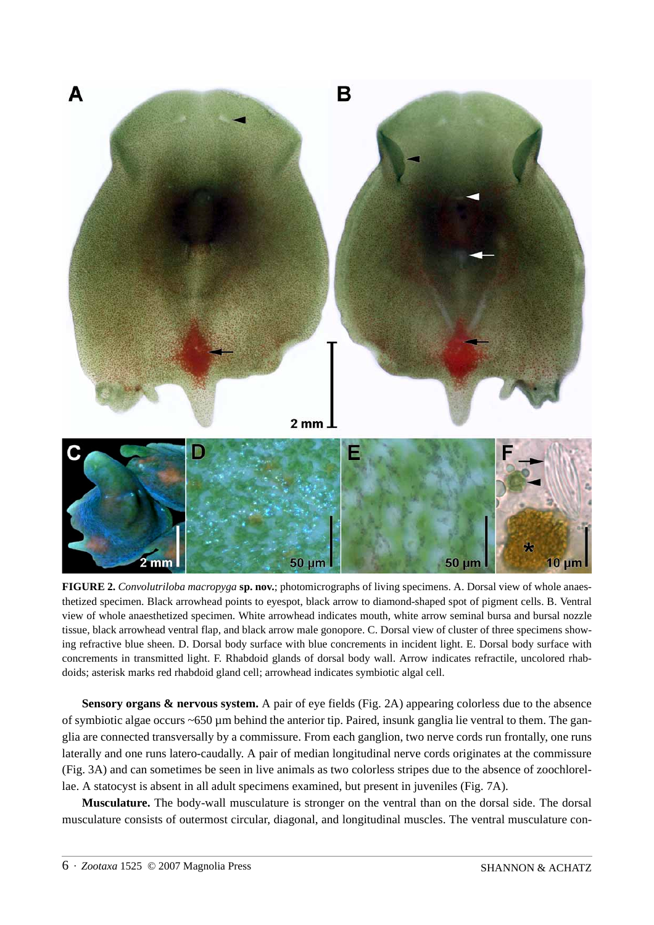

**FIGURE 2.** *Convolutriloba macropyga* **sp. nov.**; photomicrographs of living specimens. A. Dorsal view of whole anaesthetized specimen. Black arrowhead points to eyespot, black arrow to diamond-shaped spot of pigment cells. B. Ventral view of whole anaesthetized specimen. White arrowhead indicates mouth, white arrow seminal bursa and bursal nozzle tissue, black arrowhead ventral flap, and black arrow male gonopore. C. Dorsal view of cluster of three specimens showing refractive blue sheen. D. Dorsal body surface with blue concrements in incident light. E. Dorsal body surface with concrements in transmitted light. F. Rhabdoid glands of dorsal body wall. Arrow indicates refractile, uncolored rhabdoids; asterisk marks red rhabdoid gland cell; arrowhead indicates symbiotic algal cell.

**Sensory organs & nervous system.** A pair of eye fields (Fig. 2A) appearing colorless due to the absence of symbiotic algae occurs ~650 µm behind the anterior tip. Paired, insunk ganglia lie ventral to them. The ganglia are connected transversally by a commissure. From each ganglion, two nerve cords run frontally, one runs laterally and one runs latero-caudally. A pair of median longitudinal nerve cords originates at the commissure (Fig. 3A) and can sometimes be seen in live animals as two colorless stripes due to the absence of zoochlorellae. A statocyst is absent in all adult specimens examined, but present in juveniles (Fig. 7A).

**Musculature.** The body-wall musculature is stronger on the ventral than on the dorsal side. The dorsal musculature consists of outermost circular, diagonal, and longitudinal muscles. The ventral musculature con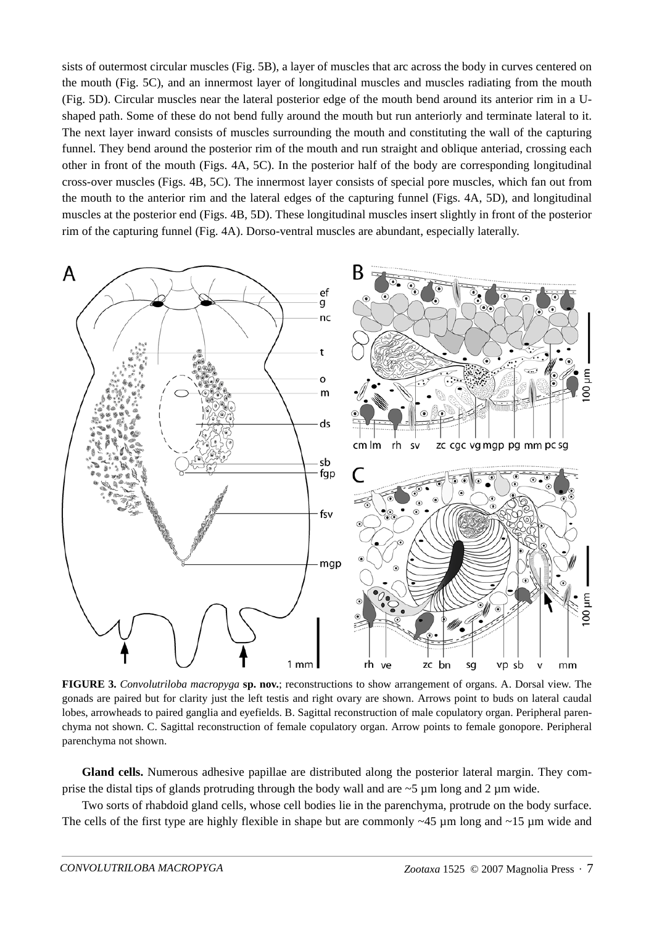sists of outermost circular muscles (Fig. 5B), a layer of muscles that arc across the body in curves centered on the mouth (Fig. 5C), and an innermost layer of longitudinal muscles and muscles radiating from the mouth (Fig. 5D). Circular muscles near the lateral posterior edge of the mouth bend around its anterior rim in a Ushaped path. Some of these do not bend fully around the mouth but run anteriorly and terminate lateral to it. The next layer inward consists of muscles surrounding the mouth and constituting the wall of the capturing funnel. They bend around the posterior rim of the mouth and run straight and oblique anteriad, crossing each other in front of the mouth (Figs. 4A, 5C). In the posterior half of the body are corresponding longitudinal cross-over muscles (Figs. 4B, 5C). The innermost layer consists of special pore muscles, which fan out from the mouth to the anterior rim and the lateral edges of the capturing funnel (Figs. 4A, 5D), and longitudinal muscles at the posterior end (Figs. 4B, 5D). These longitudinal muscles insert slightly in front of the posterior rim of the capturing funnel (Fig. 4A). Dorso-ventral muscles are abundant, especially laterally.



**FIGURE 3.** *Convolutriloba macropyga* **sp. nov.**; reconstructions to show arrangement of organs. A. Dorsal view. The gonads are paired but for clarity just the left testis and right ovary are shown. Arrows point to buds on lateral caudal lobes, arrowheads to paired ganglia and eyefields. B. Sagittal reconstruction of male copulatory organ. Peripheral parenchyma not shown. C. Sagittal reconstruction of female copulatory organ. Arrow points to female gonopore. Peripheral parenchyma not shown.

**Gland cells.** Numerous adhesive papillae are distributed along the posterior lateral margin. They comprise the distal tips of glands protruding through the body wall and are  $\sim$  5 um long and 2 um wide.

Two sorts of rhabdoid gland cells, whose cell bodies lie in the parenchyma, protrude on the body surface. The cells of the first type are highly flexible in shape but are commonly  $\sim$ 45 µm long and  $\sim$ 15 µm wide and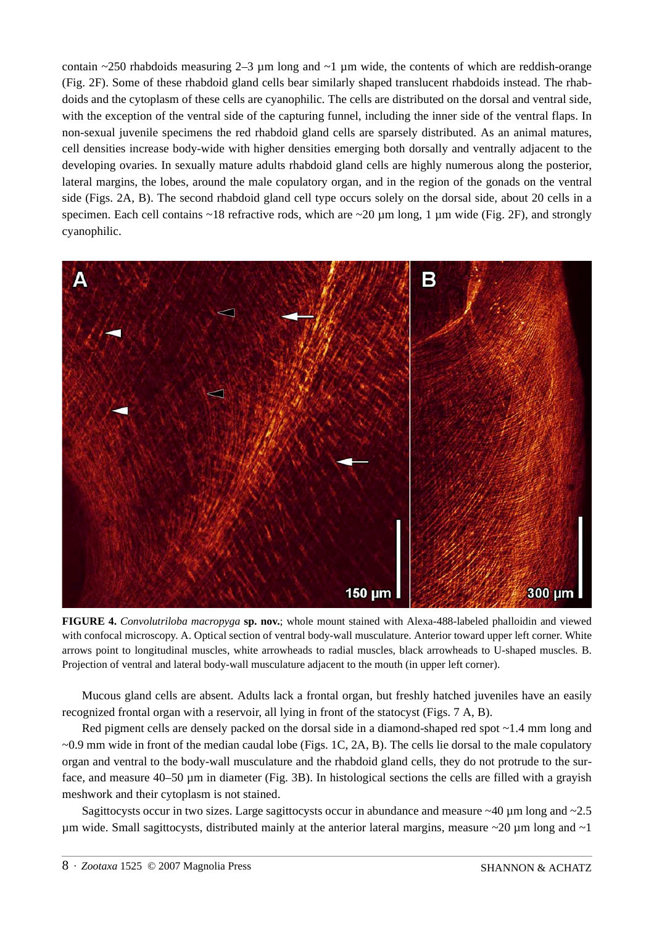contain  $\sim$ 250 rhabdoids measuring 2–3 µm long and  $\sim$ 1 µm wide, the contents of which are reddish-orange (Fig. 2F). Some of these rhabdoid gland cells bear similarly shaped translucent rhabdoids instead. The rhabdoids and the cytoplasm of these cells are cyanophilic. The cells are distributed on the dorsal and ventral side, with the exception of the ventral side of the capturing funnel, including the inner side of the ventral flaps. In non-sexual juvenile specimens the red rhabdoid gland cells are sparsely distributed. As an animal matures, cell densities increase body-wide with higher densities emerging both dorsally and ventrally adjacent to the developing ovaries. In sexually mature adults rhabdoid gland cells are highly numerous along the posterior, lateral margins, the lobes, around the male copulatory organ, and in the region of the gonads on the ventral side (Figs. 2A, B). The second rhabdoid gland cell type occurs solely on the dorsal side, about 20 cells in a specimen. Each cell contains  $\sim$ 18 refractive rods, which are  $\sim$ 20  $\mu$ m long, 1  $\mu$ m wide (Fig. 2F), and strongly cyanophilic.



**FIGURE 4.** *Convolutriloba macropyga* **sp. nov.**; whole mount stained with Alexa-488-labeled phalloidin and viewed with confocal microscopy. A. Optical section of ventral body-wall musculature. Anterior toward upper left corner. White arrows point to longitudinal muscles, white arrowheads to radial muscles, black arrowheads to U-shaped muscles. B. Projection of ventral and lateral body-wall musculature adjacent to the mouth (in upper left corner).

Mucous gland cells are absent. Adults lack a frontal organ, but freshly hatched juveniles have an easily recognized frontal organ with a reservoir, all lying in front of the statocyst (Figs. 7 A, B).

Red pigment cells are densely packed on the dorsal side in a diamond-shaped red spot ~1.4 mm long and ~0.9 mm wide in front of the median caudal lobe (Figs. 1C, 2A, B). The cells lie dorsal to the male copulatory organ and ventral to the body-wall musculature and the rhabdoid gland cells, they do not protrude to the surface, and measure 40–50 µm in diameter (Fig. 3B). In histological sections the cells are filled with a grayish meshwork and their cytoplasm is not stained.

Sagittocysts occur in two sizes. Large sagittocysts occur in abundance and measure  $\sim$ 40 µm long and  $\sim$ 2.5 um wide. Small sagittocysts, distributed mainly at the anterior lateral margins, measure  $\sim$ 20 um long and  $\sim$ 1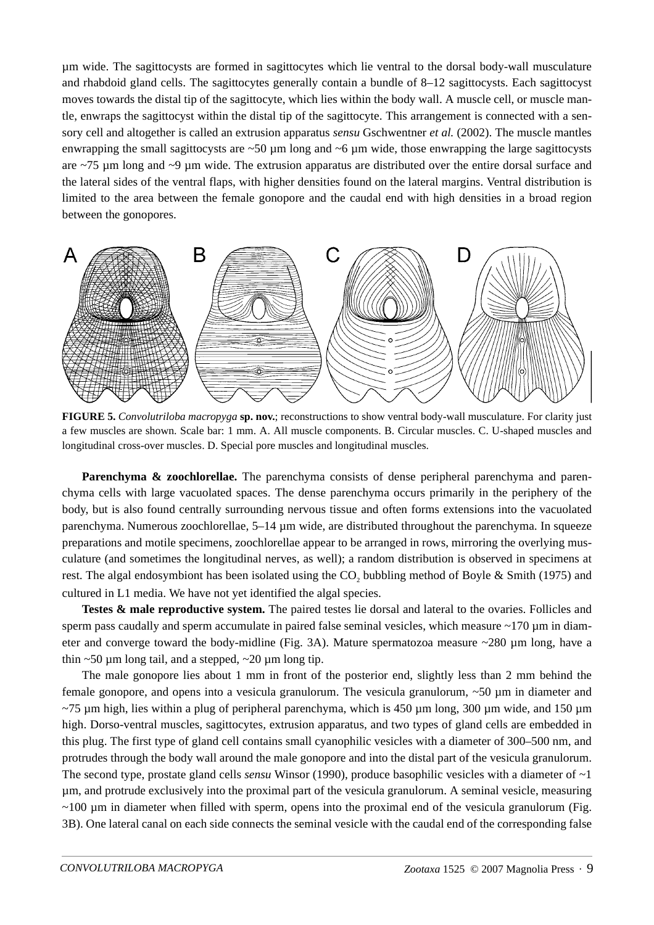µm wide. The sagittocysts are formed in sagittocytes which lie ventral to the dorsal body-wall musculature and rhabdoid gland cells. The sagittocytes generally contain a bundle of 8–12 sagittocysts. Each sagittocyst moves towards the distal tip of the sagittocyte, which lies within the body wall. A muscle cell, or muscle mantle, enwraps the sagittocyst within the distal tip of the sagittocyte. This arrangement is connected with a sensory cell and altogether is called an extrusion apparatus *sensu* Gschwentner *et al.* (2002). The muscle mantles enwrapping the small sagittocysts are  $\sim$ 50  $\mu$ m long and  $\sim$ 6  $\mu$ m wide, those enwrapping the large sagittocysts are  $\sim$ 75 µm long and  $\sim$ 9 µm wide. The extrusion apparatus are distributed over the entire dorsal surface and the lateral sides of the ventral flaps, with higher densities found on the lateral margins. Ventral distribution is limited to the area between the female gonopore and the caudal end with high densities in a broad region between the gonopores.



**FIGURE 5.** *Convolutriloba macropyga* **sp. nov.**; reconstructions to show ventral body-wall musculature. For clarity just a few muscles are shown. Scale bar: 1 mm. A. All muscle components. B. Circular muscles. C. U-shaped muscles and longitudinal cross-over muscles. D. Special pore muscles and longitudinal muscles.

**Parenchyma & zoochlorellae.** The parenchyma consists of dense peripheral parenchyma and parenchyma cells with large vacuolated spaces. The dense parenchyma occurs primarily in the periphery of the body, but is also found centrally surrounding nervous tissue and often forms extensions into the vacuolated parenchyma. Numerous zoochlorellae, 5–14 µm wide, are distributed throughout the parenchyma. In squeeze preparations and motile specimens, zoochlorellae appear to be arranged in rows, mirroring the overlying musculature (and sometimes the longitudinal nerves, as well); a random distribution is observed in specimens at rest. The algal endosymbiont has been isolated using the  $CO<sub>2</sub>$  bubbling method of Boyle & Smith (1975) and cultured in L1 media. We have not yet identified the algal species.

**Testes & male reproductive system.** The paired testes lie dorsal and lateral to the ovaries. Follicles and sperm pass caudally and sperm accumulate in paired false seminal vesicles, which measure  $\sim$ 170  $\mu$ m in diameter and converge toward the body-midline (Fig. 3A). Mature spermatozoa measure ~280 µm long, have a thin  $\sim 50 \mu$ m long tail, and a stepped,  $\sim 20 \mu$ m long tip.

The male gonopore lies about 1 mm in front of the posterior end, slightly less than 2 mm behind the female gonopore, and opens into a vesicula granulorum. The vesicula granulorum,  $\sim$ 50  $\mu$ m in diameter and  $\sim$ 75 µm high, lies within a plug of peripheral parenchyma, which is 450 µm long, 300 µm wide, and 150 µm high. Dorso-ventral muscles, sagittocytes, extrusion apparatus, and two types of gland cells are embedded in this plug. The first type of gland cell contains small cyanophilic vesicles with a diameter of 300–500 nm, and protrudes through the body wall around the male gonopore and into the distal part of the vesicula granulorum. The second type, prostate gland cells *sensu* Winsor (1990), produce basophilic vesicles with a diameter of ~1 µm, and protrude exclusively into the proximal part of the vesicula granulorum. A seminal vesicle, measuring  $\sim$ 100 µm in diameter when filled with sperm, opens into the proximal end of the vesicula granulorum (Fig. 3B). One lateral canal on each side connects the seminal vesicle with the caudal end of the corresponding false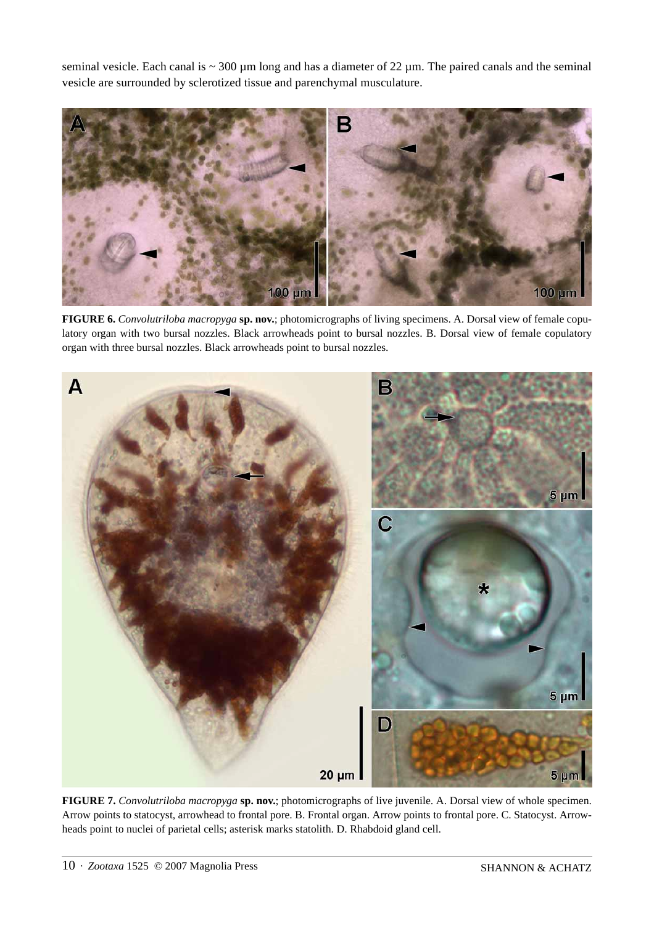seminal vesicle. Each canal is  $\sim$  300 µm long and has a diameter of 22 µm. The paired canals and the seminal vesicle are surrounded by sclerotized tissue and parenchymal musculature.



**FIGURE 6.** *Convolutriloba macropyga* **sp. nov.**; photomicrographs of living specimens. A. Dorsal view of female copulatory organ with two bursal nozzles. Black arrowheads point to bursal nozzles. B. Dorsal view of female copulatory organ with three bursal nozzles. Black arrowheads point to bursal nozzles.



**FIGURE 7.** *Convolutriloba macropyga* **sp. nov.**; photomicrographs of live juvenile. A. Dorsal view of whole specimen. Arrow points to statocyst, arrowhead to frontal pore. B. Frontal organ. Arrow points to frontal pore. C. Statocyst. Arrowheads point to nuclei of parietal cells; asterisk marks statolith. D. Rhabdoid gland cell.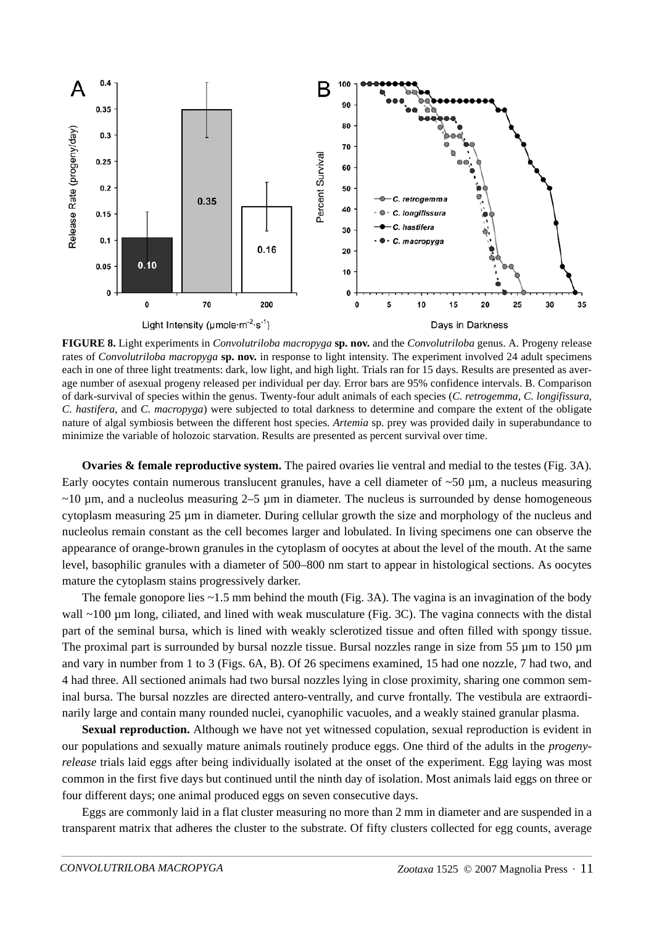

**FIGURE 8.** Light experiments in *Convolutriloba macropyga* **sp. nov.** and the *Convolutriloba* genus. A. Progeny release rates of *Convolutriloba macropyga* **sp. nov.** in response to light intensity. The experiment involved 24 adult specimens each in one of three light treatments: dark, low light, and high light. Trials ran for 15 days. Results are presented as average number of asexual progeny released per individual per day. Error bars are 95% confidence intervals. B. Comparison of dark-survival of species within the genus. Twenty-four adult animals of each species (*C. retrogemma*, *C. longifissura*, *C. hastifera*, and *C. macropyga*) were subjected to total darkness to determine and compare the extent of the obligate nature of algal symbiosis between the different host species. *Artemia* sp. prey was provided daily in superabundance to minimize the variable of holozoic starvation. Results are presented as percent survival over time.

**Ovaries & female reproductive system.** The paired ovaries lie ventral and medial to the testes (Fig. 3A). Early oocytes contain numerous translucent granules, have a cell diameter of  $\sim 50 \mu$ m, a nucleus measuring  $\sim$ 10 µm, and a nucleolus measuring 2–5 µm in diameter. The nucleus is surrounded by dense homogeneous cytoplasm measuring 25 µm in diameter. During cellular growth the size and morphology of the nucleus and nucleolus remain constant as the cell becomes larger and lobulated. In living specimens one can observe the appearance of orange-brown granules in the cytoplasm of oocytes at about the level of the mouth. At the same level, basophilic granules with a diameter of 500–800 nm start to appear in histological sections. As oocytes mature the cytoplasm stains progressively darker.

The female gonopore lies  $\sim$ 1.5 mm behind the mouth (Fig. 3A). The vagina is an invagination of the body wall  $\sim$ 100  $\mu$ m long, ciliated, and lined with weak musculature (Fig. 3C). The vagina connects with the distal part of the seminal bursa, which is lined with weakly sclerotized tissue and often filled with spongy tissue. The proximal part is surrounded by bursal nozzle tissue. Bursal nozzles range in size from 55 um to 150 um and vary in number from 1 to 3 (Figs. 6A, B). Of 26 specimens examined, 15 had one nozzle, 7 had two, and 4 had three. All sectioned animals had two bursal nozzles lying in close proximity, sharing one common seminal bursa. The bursal nozzles are directed antero-ventrally, and curve frontally. The vestibula are extraordinarily large and contain many rounded nuclei, cyanophilic vacuoles, and a weakly stained granular plasma.

**Sexual reproduction.** Although we have not yet witnessed copulation, sexual reproduction is evident in our populations and sexually mature animals routinely produce eggs. One third of the adults in the *progenyrelease* trials laid eggs after being individually isolated at the onset of the experiment. Egg laying was most common in the first five days but continued until the ninth day of isolation. Most animals laid eggs on three or four different days; one animal produced eggs on seven consecutive days.

Eggs are commonly laid in a flat cluster measuring no more than 2 mm in diameter and are suspended in a transparent matrix that adheres the cluster to the substrate. Of fifty clusters collected for egg counts, average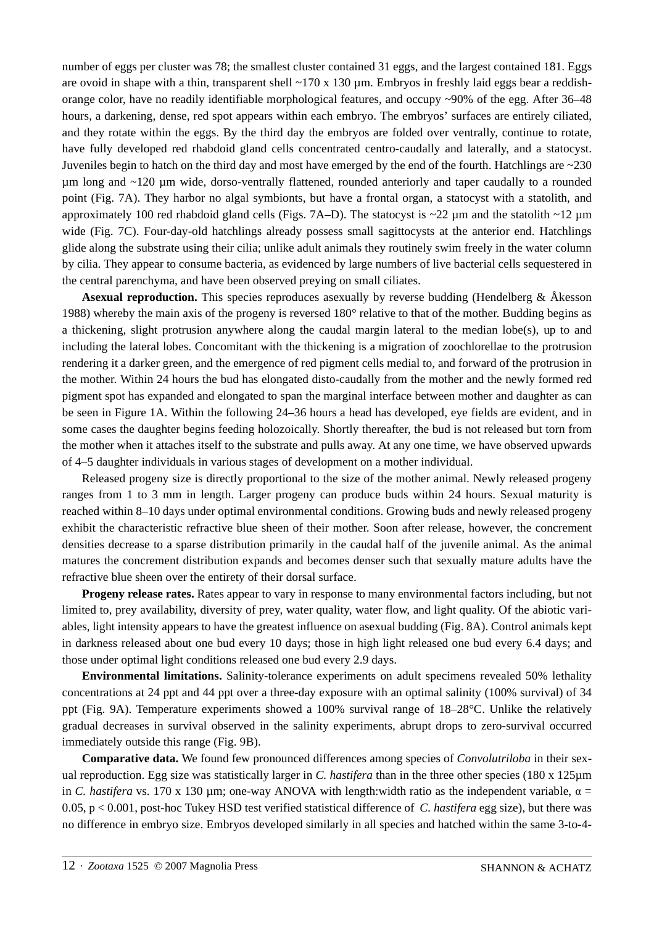number of eggs per cluster was 78; the smallest cluster contained 31 eggs, and the largest contained 181. Eggs are ovoid in shape with a thin, transparent shell  $\sim$ 170 x 130 um. Embryos in freshly laid eggs bear a reddishorange color, have no readily identifiable morphological features, and occupy ~90% of the egg. After 36–48 hours, a darkening, dense, red spot appears within each embryo. The embryos' surfaces are entirely ciliated, and they rotate within the eggs. By the third day the embryos are folded over ventrally, continue to rotate, have fully developed red rhabdoid gland cells concentrated centro-caudally and laterally, and a statocyst. Juveniles begin to hatch on the third day and most have emerged by the end of the fourth. Hatchlings are  $\sim$ 230  $\mu$ m long and  $\sim$ 120  $\mu$ m wide, dorso-ventrally flattened, rounded anteriorly and taper caudally to a rounded point (Fig. 7A). They harbor no algal symbionts, but have a frontal organ, a statocyst with a statolith, and approximately 100 red rhabdoid gland cells (Figs. 7A–D). The statocyst is  $\sim$ 22  $\mu$ m and the statolith  $\sim$ 12  $\mu$ m wide (Fig. 7C). Four-day-old hatchlings already possess small sagittocysts at the anterior end. Hatchlings glide along the substrate using their cilia; unlike adult animals they routinely swim freely in the water column by cilia. They appear to consume bacteria, as evidenced by large numbers of live bacterial cells sequestered in the central parenchyma, and have been observed preying on small ciliates.

**Asexual reproduction.** This species reproduces asexually by reverse budding (Hendelberg & Åkesson 1988) whereby the main axis of the progeny is reversed 180° relative to that of the mother. Budding begins as a thickening, slight protrusion anywhere along the caudal margin lateral to the median lobe(s), up to and including the lateral lobes. Concomitant with the thickening is a migration of zoochlorellae to the protrusion rendering it a darker green, and the emergence of red pigment cells medial to, and forward of the protrusion in the mother. Within 24 hours the bud has elongated disto-caudally from the mother and the newly formed red pigment spot has expanded and elongated to span the marginal interface between mother and daughter as can be seen in Figure 1A. Within the following 24–36 hours a head has developed, eye fields are evident, and in some cases the daughter begins feeding holozoically. Shortly thereafter, the bud is not released but torn from the mother when it attaches itself to the substrate and pulls away. At any one time, we have observed upwards of 4–5 daughter individuals in various stages of development on a mother individual.

Released progeny size is directly proportional to the size of the mother animal. Newly released progeny ranges from 1 to 3 mm in length. Larger progeny can produce buds within 24 hours. Sexual maturity is reached within 8–10 days under optimal environmental conditions. Growing buds and newly released progeny exhibit the characteristic refractive blue sheen of their mother. Soon after release, however, the concrement densities decrease to a sparse distribution primarily in the caudal half of the juvenile animal. As the animal matures the concrement distribution expands and becomes denser such that sexually mature adults have the refractive blue sheen over the entirety of their dorsal surface.

**Progeny release rates.** Rates appear to vary in response to many environmental factors including, but not limited to, prey availability, diversity of prey, water quality, water flow, and light quality. Of the abiotic variables, light intensity appears to have the greatest influence on asexual budding (Fig. 8A). Control animals kept in darkness released about one bud every 10 days; those in high light released one bud every 6.4 days; and those under optimal light conditions released one bud every 2.9 days.

**Environmental limitations.** Salinity-tolerance experiments on adult specimens revealed 50% lethality concentrations at 24 ppt and 44 ppt over a three-day exposure with an optimal salinity (100% survival) of 34 ppt (Fig. 9A). Temperature experiments showed a 100% survival range of 18–28°C. Unlike the relatively gradual decreases in survival observed in the salinity experiments, abrupt drops to zero-survival occurred immediately outside this range (Fig. 9B).

**Comparative data.** We found few pronounced differences among species of *Convolutriloba* in their sexual reproduction. Egg size was statistically larger in *C. hastifera* than in the three other species (180 x 125µm in *C. hastifera* vs. 170 x 130 µm; one-way ANOVA with length:width ratio as the independent variable,  $\alpha$  = 0.05, p < 0.001, post-hoc Tukey HSD test verified statistical difference of *C. hastifera* egg size), but there was no difference in embryo size. Embryos developed similarly in all species and hatched within the same 3-to-4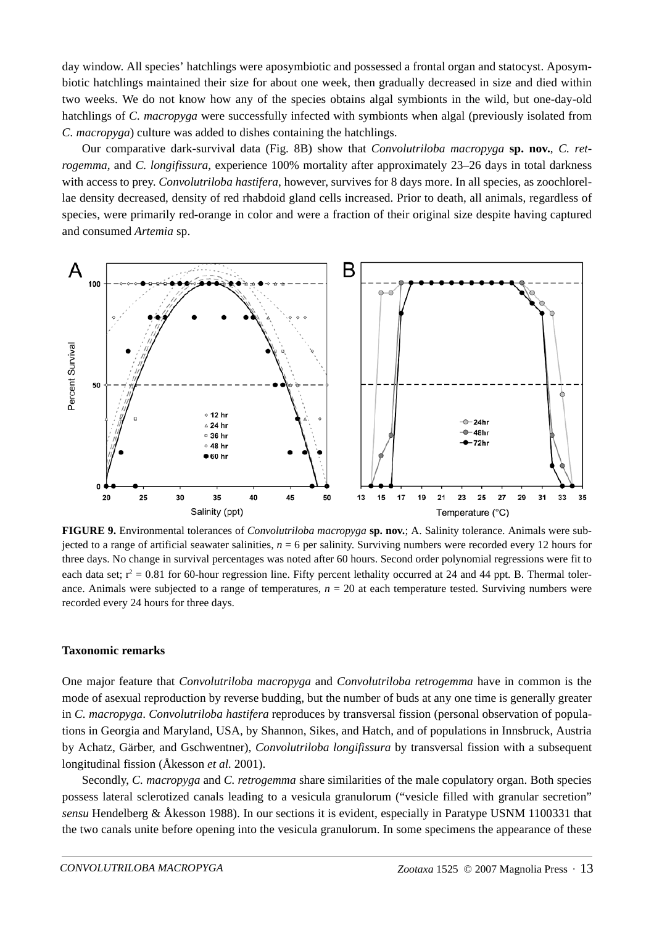day window. All species' hatchlings were aposymbiotic and possessed a frontal organ and statocyst. Aposymbiotic hatchlings maintained their size for about one week, then gradually decreased in size and died within two weeks. We do not know how any of the species obtains algal symbionts in the wild, but one-day-old hatchlings of *C. macropyga* were successfully infected with symbionts when algal (previously isolated from *C. macropyga*) culture was added to dishes containing the hatchlings.

Our comparative dark-survival data (Fig. 8B) show that *Convolutriloba macropyga* **sp. nov.**, *C. retrogemma*, and *C. longifissura*, experience 100% mortality after approximately 23–26 days in total darkness with access to prey. *Convolutriloba hastifera*, however, survives for 8 days more. In all species, as zoochlorellae density decreased, density of red rhabdoid gland cells increased. Prior to death, all animals, regardless of species, were primarily red-orange in color and were a fraction of their original size despite having captured and consumed *Artemia* sp.



**FIGURE 9.** Environmental tolerances of *Convolutriloba macropyga* **sp. nov.**; A. Salinity tolerance. Animals were subjected to a range of artificial seawater salinities,  $n = 6$  per salinity. Surviving numbers were recorded every 12 hours for three days. No change in survival percentages was noted after 60 hours. Second order polynomial regressions were fit to each data set;  $r^2 = 0.81$  for 60-hour regression line. Fifty percent lethality occurred at 24 and 44 ppt. B. Thermal tolerance. Animals were subjected to a range of temperatures,  $n = 20$  at each temperature tested. Surviving numbers were recorded every 24 hours for three days.

#### **Taxonomic remarks**

One major feature that *Convolutriloba macropyga* and *Convolutriloba retrogemma* have in common is the mode of asexual reproduction by reverse budding, but the number of buds at any one time is generally greater in *C. macropyga*. *Convolutriloba hastifera* reproduces by transversal fission (personal observation of populations in Georgia and Maryland, USA, by Shannon, Sikes, and Hatch, and of populations in Innsbruck, Austria by Achatz, Gärber, and Gschwentner), *Convolutriloba longifissura* by transversal fission with a subsequent longitudinal fission (Åkesson *et al.* 2001).

Secondly, *C. macropyga* and *C. retrogemma* share similarities of the male copulatory organ. Both species possess lateral sclerotized canals leading to a vesicula granulorum ("vesicle filled with granular secretion" *sensu* Hendelberg & Åkesson 1988). In our sections it is evident, especially in Paratype USNM 1100331 that the two canals unite before opening into the vesicula granulorum. In some specimens the appearance of these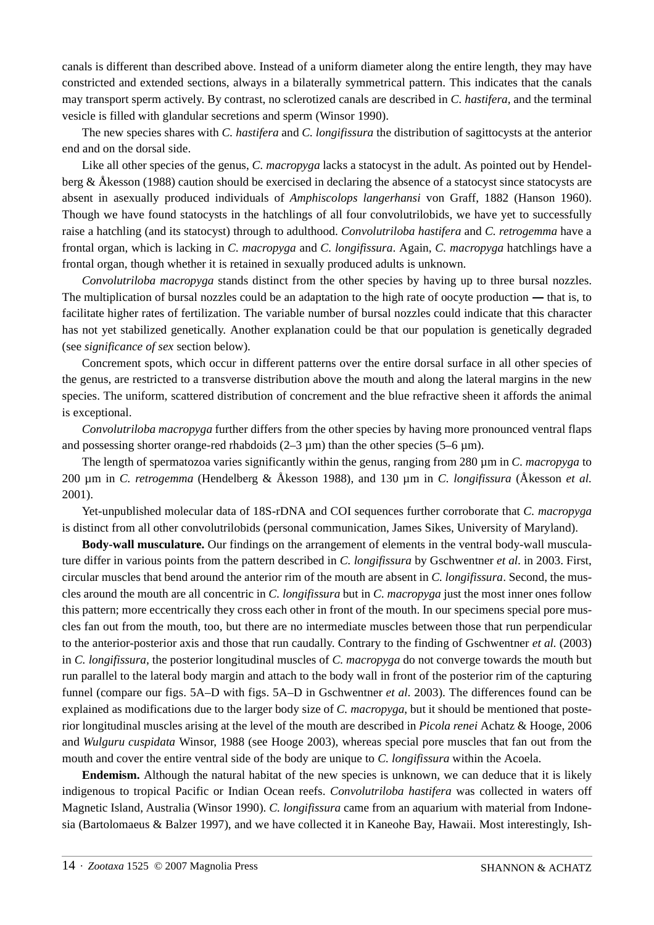canals is different than described above. Instead of a uniform diameter along the entire length, they may have constricted and extended sections, always in a bilaterally symmetrical pattern. This indicates that the canals may transport sperm actively. By contrast, no sclerotized canals are described in *C. hastifera,* and the terminal vesicle is filled with glandular secretions and sperm (Winsor 1990).

The new species shares with *C. hastifera* and *C. longifissura* the distribution of sagittocysts at the anterior end and on the dorsal side.

Like all other species of the genus, *C. macropyga* lacks a statocyst in the adult. As pointed out by Hendelberg & Åkesson (1988) caution should be exercised in declaring the absence of a statocyst since statocysts are absent in asexually produced individuals of *Amphiscolops langerhansi* von Graff, 1882 (Hanson 1960). Though we have found statocysts in the hatchlings of all four convolutrilobids, we have yet to successfully raise a hatchling (and its statocyst) through to adulthood. *Convolutriloba hastifera* and *C. retrogemma* have a frontal organ, which is lacking in *C. macropyga* and *C. longifissura*. Again, *C. macropyga* hatchlings have a frontal organ, though whether it is retained in sexually produced adults is unknown.

*Convolutriloba macropyga* stands distinct from the other species by having up to three bursal nozzles. The multiplication of bursal nozzles could be an adaptation to the high rate of oocyte production — that is, to facilitate higher rates of fertilization. The variable number of bursal nozzles could indicate that this character has not yet stabilized genetically. Another explanation could be that our population is genetically degraded (see *significance of sex* section below).

Concrement spots, which occur in different patterns over the entire dorsal surface in all other species of the genus, are restricted to a transverse distribution above the mouth and along the lateral margins in the new species. The uniform, scattered distribution of concrement and the blue refractive sheen it affords the animal is exceptional.

*Convolutriloba macropyga* further differs from the other species by having more pronounced ventral flaps and possessing shorter orange-red rhabdoids  $(2-3 \mu m)$  than the other species  $(5-6 \mu m)$ .

The length of spermatozoa varies significantly within the genus, ranging from 280 µm in *C. macropyga* to 200 µm in *C. retrogemma* (Hendelberg & Åkesson 1988), and 130 µm in *C. longifissura* (Åkesson *et al.* 2001).

Yet-unpublished molecular data of 18S-rDNA and COI sequences further corroborate that *C. macropyga* is distinct from all other convolutrilobids (personal communication, James Sikes, University of Maryland).

**Body-wall musculature.** Our findings on the arrangement of elements in the ventral body-wall musculature differ in various points from the pattern described in *C. longifissura* by Gschwentner *et al.* in 2003. First, circular muscles that bend around the anterior rim of the mouth are absent in *C. longifissura*. Second, the muscles around the mouth are all concentric in *C. longifissura* but in *C. macropyga* just the most inner ones follow this pattern; more eccentrically they cross each other in front of the mouth. In our specimens special pore muscles fan out from the mouth, too, but there are no intermediate muscles between those that run perpendicular to the anterior-posterior axis and those that run caudally. Contrary to the finding of Gschwentner *et al.* (2003) in *C. longifissura,* the posterior longitudinal muscles of *C. macropyga* do not converge towards the mouth but run parallel to the lateral body margin and attach to the body wall in front of the posterior rim of the capturing funnel (compare our figs. 5A–D with figs. 5A–D in Gschwentner *et al.* 2003). The differences found can be explained as modifications due to the larger body size of *C. macropyga*, but it should be mentioned that posterior longitudinal muscles arising at the level of the mouth are described in *Picola renei* Achatz & Hooge, 2006 and *Wulguru cuspidata* Winsor, 1988 (see Hooge 2003), whereas special pore muscles that fan out from the mouth and cover the entire ventral side of the body are unique to *C. longifissura* within the Acoela.

**Endemism.** Although the natural habitat of the new species is unknown, we can deduce that it is likely indigenous to tropical Pacific or Indian Ocean reefs. *Convolutriloba hastifera* was collected in waters off Magnetic Island, Australia (Winsor 1990). *C. longifissura* came from an aquarium with material from Indonesia (Bartolomaeus & Balzer 1997), and we have collected it in Kaneohe Bay, Hawaii. Most interestingly, Ish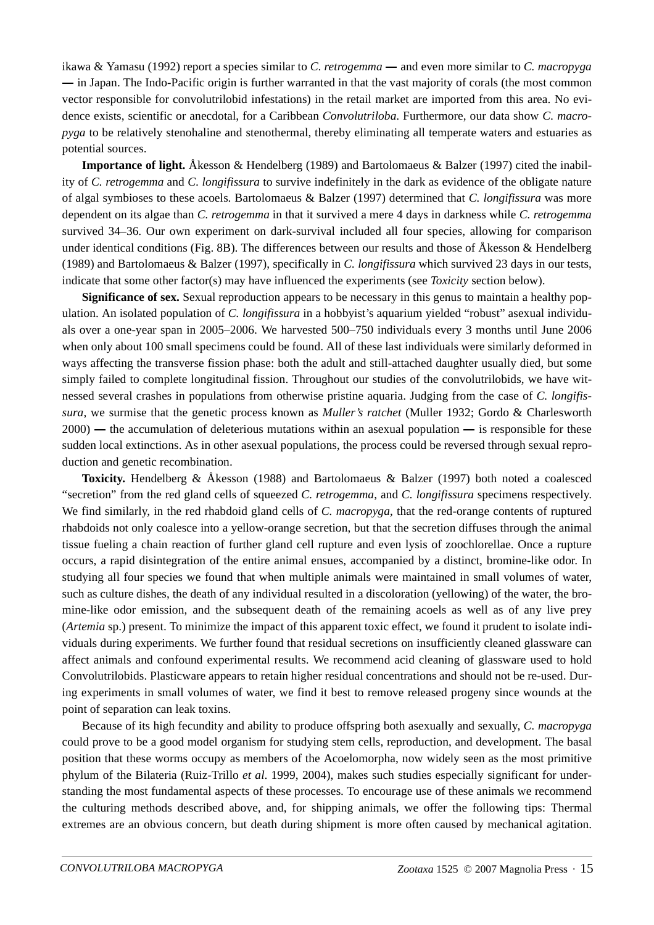ikawa & Yamasu (1992) report a species similar to *C. retrogemma* ― and even more similar to *C. macropyga* ― in Japan. The Indo-Pacific origin is further warranted in that the vast majority of corals (the most common vector responsible for convolutrilobid infestations) in the retail market are imported from this area. No evidence exists, scientific or anecdotal, for a Caribbean *Convolutriloba*. Furthermore, our data show *C. macropyga* to be relatively stenohaline and stenothermal, thereby eliminating all temperate waters and estuaries as potential sources.

**Importance of light.** Åkesson & Hendelberg (1989) and Bartolomaeus & Balzer (1997) cited the inability of *C. retrogemma* and *C. longifissura* to survive indefinitely in the dark as evidence of the obligate nature of algal symbioses to these acoels. Bartolomaeus & Balzer (1997) determined that *C. longifissura* was more dependent on its algae than *C. retrogemma* in that it survived a mere 4 days in darkness while *C. retrogemma* survived 34–36. Our own experiment on dark-survival included all four species, allowing for comparison under identical conditions (Fig. 8B). The differences between our results and those of Åkesson & Hendelberg (1989) and Bartolomaeus & Balzer (1997), specifically in *C. longifissura* which survived 23 days in our tests, indicate that some other factor(s) may have influenced the experiments (see *Toxicity* section below).

**Significance of sex.** Sexual reproduction appears to be necessary in this genus to maintain a healthy population. An isolated population of *C. longifissura* in a hobbyist's aquarium yielded "robust" asexual individuals over a one-year span in 2005–2006. We harvested 500–750 individuals every 3 months until June 2006 when only about 100 small specimens could be found. All of these last individuals were similarly deformed in ways affecting the transverse fission phase: both the adult and still-attached daughter usually died, but some simply failed to complete longitudinal fission. Throughout our studies of the convolutrilobids, we have witnessed several crashes in populations from otherwise pristine aquaria. Judging from the case of *C. longifissura*, we surmise that the genetic process known as *Muller's ratchet* (Muller 1932; Gordo & Charlesworth 2000) — the accumulation of deleterious mutations within an asexual population — is responsible for these sudden local extinctions. As in other asexual populations, the process could be reversed through sexual reproduction and genetic recombination.

**Toxicity.** Hendelberg & Åkesson (1988) and Bartolomaeus & Balzer (1997) both noted a coalesced "secretion" from the red gland cells of squeezed *C. retrogemma*, and *C. longifissura* specimens respectively. We find similarly, in the red rhabdoid gland cells of *C. macropyga*, that the red-orange contents of ruptured rhabdoids not only coalesce into a yellow-orange secretion, but that the secretion diffuses through the animal tissue fueling a chain reaction of further gland cell rupture and even lysis of zoochlorellae. Once a rupture occurs, a rapid disintegration of the entire animal ensues, accompanied by a distinct, bromine-like odor. In studying all four species we found that when multiple animals were maintained in small volumes of water, such as culture dishes, the death of any individual resulted in a discoloration (yellowing) of the water, the bromine-like odor emission, and the subsequent death of the remaining acoels as well as of any live prey (*Artemia* sp.) present. To minimize the impact of this apparent toxic effect, we found it prudent to isolate individuals during experiments. We further found that residual secretions on insufficiently cleaned glassware can affect animals and confound experimental results. We recommend acid cleaning of glassware used to hold Convolutrilobids. Plasticware appears to retain higher residual concentrations and should not be re-used. During experiments in small volumes of water, we find it best to remove released progeny since wounds at the point of separation can leak toxins.

Because of its high fecundity and ability to produce offspring both asexually and sexually, *C. macropyga* could prove to be a good model organism for studying stem cells, reproduction, and development. The basal position that these worms occupy as members of the Acoelomorpha, now widely seen as the most primitive phylum of the Bilateria (Ruiz-Trillo *et al*. 1999, 2004), makes such studies especially significant for understanding the most fundamental aspects of these processes. To encourage use of these animals we recommend the culturing methods described above, and, for shipping animals, we offer the following tips: Thermal extremes are an obvious concern, but death during shipment is more often caused by mechanical agitation.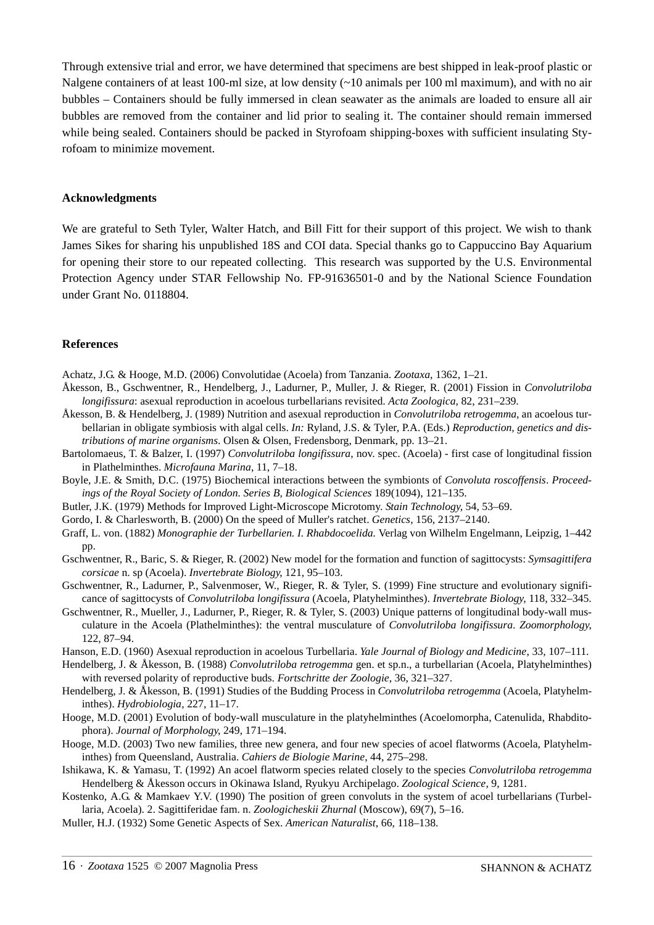Through extensive trial and error, we have determined that specimens are best shipped in leak-proof plastic or Nalgene containers of at least 100-ml size, at low density  $\sim$  10 animals per 100 ml maximum), and with no air bubbles – Containers should be fully immersed in clean seawater as the animals are loaded to ensure all air bubbles are removed from the container and lid prior to sealing it. The container should remain immersed while being sealed. Containers should be packed in Styrofoam shipping-boxes with sufficient insulating Styrofoam to minimize movement.

## **Acknowledgments**

We are grateful to Seth Tyler, Walter Hatch, and Bill Fitt for their support of this project. We wish to thank James Sikes for sharing his unpublished 18S and COI data. Special thanks go to Cappuccino Bay Aquarium for opening their store to our repeated collecting. This research was supported by the U.S. Environmental Protection Agency under STAR Fellowship No. FP-91636501-0 and by the National Science Foundation under Grant No. 0118804.

## **References**

Achatz, J.G. & Hooge, M.D. (2006) Convolutidae (Acoela) from Tanzania. *Zootaxa*, 1362, 1–21.

- Åkesson, B., Gschwentner, R., Hendelberg, J., Ladurner, P., Muller, J. & Rieger, R. (2001) Fission in *Convolutriloba longifissura*: asexual reproduction in acoelous turbellarians revisited. *Acta Zoologica*, 82, 231–239.
- Åkesson, B. & Hendelberg, J. (1989) Nutrition and asexual reproduction in *Convolutriloba retrogemma*, an acoelous turbellarian in obligate symbiosis with algal cells. *In:* Ryland, J.S. & Tyler, P.A. (Eds.) *Reproduction, genetics and distributions of marine organisms*. Olsen & Olsen, Fredensborg, Denmark, pp. 13–21.
- Bartolomaeus, T. & Balzer, I. (1997) *Convolutriloba longifissura*, nov. spec. (Acoela) first case of longitudinal fission in Plathelminthes. *Microfauna Marina*, 11, 7–18.
- Boyle, J.E. & Smith, D.C. (1975) Biochemical interactions between the symbionts of *Convoluta roscoffensis*. *Proceedings of the Royal Society of London. Series B, Biological Sciences* 189(1094), 121–135.
- Butler, J.K. (1979) Methods for Improved Light-Microscope Microtomy. *Stain Technology*, 54, 53–69.
- Gordo, I. & Charlesworth, B. (2000) On the speed of Muller's ratchet. *Genetics*, 156, 2137–2140.
- Graff, L. von. (1882) *Monographie der Turbellarien. I. Rhabdocoelida.* Verlag von Wilhelm Engelmann, Leipzig, 1–442 pp.
- Gschwentner, R., Baric, S. & Rieger, R. (2002) New model for the formation and function of sagittocysts: *Symsagittifera corsicae* n. sp (Acoela). *Invertebrate Biology*, 121, 95–103.
- Gschwentner, R., Ladurner, P., Salvenmoser, W., Rieger, R. & Tyler, S. (1999) Fine structure and evolutionary significance of sagittocysts of *Convolutriloba longifissura* (Acoela, Platyhelminthes). *Invertebrate Biology*, 118, 332–345.
- Gschwentner, R., Mueller, J., Ladurner, P., Rieger, R. & Tyler, S. (2003) Unique patterns of longitudinal body-wall musculature in the Acoela (Plathelminthes): the ventral musculature of *Convolutriloba longifissura*. *Zoomorphology*, 122, 87–94.
- Hanson, E.D. (1960) Asexual reproduction in acoelous Turbellaria. *Yale Journal of Biology and Medicine*, 33, 107–111.
- Hendelberg, J. & Åkesson, B. (1988) *Convolutriloba retrogemma* gen. et sp.n., a turbellarian (Acoela, Platyhelminthes) with reversed polarity of reproductive buds. *Fortschritte der Zoologie*, 36, 321–327.
- Hendelberg, J. & Åkesson, B. (1991) Studies of the Budding Process in *Convolutriloba retrogemma* (Acoela, Platyhelminthes). *Hydrobiologia*, 227, 11–17.
- Hooge, M.D. (2001) Evolution of body-wall musculature in the platyhelminthes (Acoelomorpha, Catenulida, Rhabditophora). *Journal of Morphology*, 249, 171–194.
- Hooge, M.D. (2003) Two new families, three new genera, and four new species of acoel flatworms (Acoela, Platyhelminthes) from Queensland, Australia. *Cahiers de Biologie Marine*, 44, 275–298.
- Ishikawa, K. & Yamasu, T. (1992) An acoel flatworm species related closely to the species *Convolutriloba retrogemma* Hendelberg & Åkesson occurs in Okinawa Island, Ryukyu Archipelago. *Zoological Science*, 9, 1281.
- Kostenko, A.G. & Mamkaev Y.V. (1990) The position of green convoluts in the system of acoel turbellarians (Turbellaria, Acoela). 2. Sagittiferidae fam. n. *Zoologicheskii Zhurnal* (Moscow), 69(7), 5–16.
- Muller, H.J. (1932) Some Genetic Aspects of Sex. *American Naturalist*, 66, 118–138.